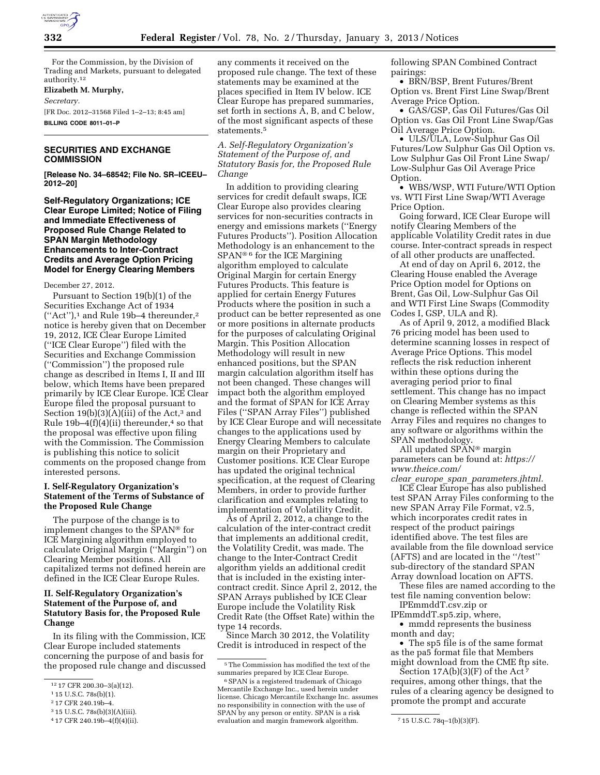

For the Commission, by the Division of Trading and Markets, pursuant to delegated authority.12

## **Elizabeth M. Murphy,**

*Secretary.* 

[FR Doc. 2012–31568 Filed 1–2–13; 8:45 am] **BILLING CODE 8011–01–P** 

# **SECURITIES AND EXCHANGE COMMISSION**

**[Release No. 34–68542; File No. SR–ICEEU– 2012–20]** 

**Self-Regulatory Organizations; ICE Clear Europe Limited; Notice of Filing and Immediate Effectiveness of Proposed Rule Change Related to SPAN Margin Methodology Enhancements to Inter-Contract Credits and Average Option Pricing Model for Energy Clearing Members** 

### December 27, 2012.

Pursuant to Section 19(b)(1) of the Securities Exchange Act of 1934 (''Act''),1 and Rule 19b–4 thereunder,2 notice is hereby given that on December 19, 2012, ICE Clear Europe Limited (''ICE Clear Europe'') filed with the Securities and Exchange Commission (''Commission'') the proposed rule change as described in Items I, II and III below, which Items have been prepared primarily by ICE Clear Europe. ICE Clear Europe filed the proposal pursuant to Section 19(b)(3)( $\tilde{A}$ )(iii) of the Act,<sup>3</sup> and Rule  $19b-4(f)(4)(ii)$  thereunder,<sup>4</sup> so that the proposal was effective upon filing with the Commission. The Commission is publishing this notice to solicit comments on the proposed change from interested persons.

# **I. Self-Regulatory Organization's Statement of the Terms of Substance of the Proposed Rule Change**

The purpose of the change is to implement changes to the SPAN® for ICE Margining algorithm employed to calculate Original Margin (''Margin'') on Clearing Member positions. All capitalized terms not defined herein are defined in the ICE Clear Europe Rules.

# **II. Self-Regulatory Organization's Statement of the Purpose of, and Statutory Basis for, the Proposed Rule Change**

In its filing with the Commission, ICE Clear Europe included statements concerning the purpose of and basis for the proposed rule change and discussed

3 15 U.S.C. 78s(b)(3)(A)(iii).

any comments it received on the proposed rule change. The text of these statements may be examined at the places specified in Item IV below. ICE Clear Europe has prepared summaries, set forth in sections A, B, and C below, of the most significant aspects of these statements.5

*A. Self-Regulatory Organization's Statement of the Purpose of, and Statutory Basis for, the Proposed Rule Change* 

In addition to providing clearing services for credit default swaps, ICE Clear Europe also provides clearing services for non-securities contracts in energy and emissions markets (''Energy Futures Products''). Position Allocation Methodology is an enhancement to the SPAN® 6 for the ICE Margining algorithm employed to calculate Original Margin for certain Energy Futures Products. This feature is applied for certain Energy Futures Products where the position in such a product can be better represented as one or more positions in alternate products for the purposes of calculating Original Margin. This Position Allocation Methodology will result in new enhanced positions, but the SPAN margin calculation algorithm itself has not been changed. These changes will impact both the algorithm employed and the format of SPAN for ICE Array Files (''SPAN Array Files'') published by ICE Clear Europe and will necessitate changes to the applications used by Energy Clearing Members to calculate margin on their Proprietary and Customer positions. ICE Clear Europe has updated the original technical specification, at the request of Clearing Members, in order to provide further clarification and examples relating to implementation of Volatility Credit.

As of April 2, 2012, a change to the calculation of the inter-contract credit that implements an additional credit, the Volatility Credit, was made. The change to the Inter-Contract Credit algorithm yields an additional credit that is included in the existing intercontract credit. Since April 2, 2012, the SPAN Arrays published by ICE Clear Europe include the Volatility Risk Credit Rate (the Offset Rate) within the type 14 records.

Since March 30 2012, the Volatility Credit is introduced in respect of the

following SPAN Combined Contract pairings:

• BRN/BSP, Brent Futures/Brent Option vs. Brent First Line Swap/Brent Average Price Option.

• GAS/GSP, Gas Oil Futures/Gas Oil Option vs. Gas Oil Front Line Swap/Gas Oil Average Price Option.

• ULS/ULA, Low-Sulphur Gas Oil Futures/Low Sulphur Gas Oil Option vs. Low Sulphur Gas Oil Front Line Swap/ Low-Sulphur Gas Oil Average Price Option.

• WBS/WSP, WTI Future/WTI Option vs. WTI First Line Swap/WTI Average Price Option.

Going forward, ICE Clear Europe will notify Clearing Members of the applicable Volatility Credit rates in due course. Inter-contract spreads in respect of all other products are unaffected.

At end of day on April 6, 2012, the Clearing House enabled the Average Price Option model for Options on Brent, Gas Oil, Low-Sulphur Gas Oil and WTI First Line Swaps (Commodity Codes I, GSP, ULA and R).

As of April 9, 2012, a modified Black 76 pricing model has been used to determine scanning losses in respect of Average Price Options. This model reflects the risk reduction inherent within these options during the averaging period prior to final settlement. This change has no impact on Clearing Member systems as this change is reflected within the SPAN Array Files and requires no changes to any software or algorithms within the SPAN methodology.

All updated SPAN® margin parameters can be found at: *[https://](https://www.theice.com/clear_europe_span_parameters.jhtml)  [www.theice.com/](https://www.theice.com/clear_europe_span_parameters.jhtml)* 

*clear*\_*europe*\_*span*\_*[parameters.jhtml.](https://www.theice.com/clear_europe_span_parameters.jhtml)*  ICE Clear Europe has also published test SPAN Array Files conforming to the new SPAN Array File Format, v2.5, which incorporates credit rates in respect of the product pairings identified above. The test files are available from the file download service (AFTS) and are located in the ''/test'' sub-directory of the standard SPAN Array download location on AFTS.

These files are named according to the test file naming convention below: IPEmmddT.csv.zip or

IPEmmddT.sp5.zip, where,

• mmdd represents the business month and day;

• The sp5 file is of the same format as the pa5 format file that Members might download from the CME ftp site.

Section  $17A(b)(3)(F)$  of the Act requires, among other things, that the rules of a clearing agency be designed to promote the prompt and accurate

<sup>12</sup> 17 CFR 200.30–3(a)(12).

<sup>1</sup> 15 U.S.C. 78s(b)(1).

<sup>2</sup> 17 CFR 240.19b–4.

<sup>4</sup> 17 CFR 240.19b–4(f)(4)(ii).

<sup>5</sup>The Commission has modified the text of the summaries prepared by ICE Clear Europe.

<sup>6</sup>SPAN is a registered trademark of Chicago Mercantile Exchange Inc., used herein under license. Chicago Mercantile Exchange Inc. assumes no responsibility in connection with the use of SPAN by any person or entity. SPAN is a risk evaluation and margin framework algorithm. 7 15 U.S.C. 78q–1(b)(3)(F).